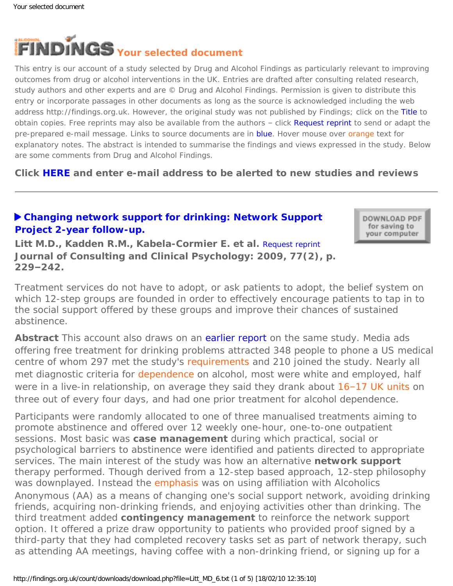<span id="page-0-0"></span>

This entry is our account of a study selected by Drug and Alcohol Findings as particularly relevant to improving outcomes from drug or alcohol interventions in the UK. Entries are drafted after consulting related research, study authors and other experts and are © Drug and Alcohol Findings. Permission is given to distribute this entry or incorporate passages in other documents as long as the source is acknowledged including the web address http://findings.org.uk. However, the original study was not published by Findings; click on the Title to obtain copies. Free reprints may also be available from the authors - click Request reprint to send or adapt the pre-prepared e-mail message. Links to source documents are in blue. Hover mouse over orange text for explanatory notes. The abstract is intended to summarise the findings and views expressed in the study. Below are some comments from Drug and Alcohol Findings.

**Click [HERE](https://findings.org.uk/index.php#signUp) and enter e-mail address to be alerted to new studies and reviews**

## **[Changing network support for drinking: Network Support](http://dx.doi.org/10.1037/a0015252)  [Project 2-year follow-up.](http://dx.doi.org/10.1037/a0015252)**

DOWNLOAD PDF for saving to your computer

**Litt M.D., Kadden R.M., Kabela-Cormier E. et al.** [Request reprint](mailto:Litt@nso.uchc.edu?Subject=Reprint%20request&body=Dear Dr Litt%0A%0AOn the Drug and Alcohol Findings web site (https://findings.org.uk) I read about your article:%0ALitt M.D., Kadden R.M., Kabela-Cormier E. et al. Changing network support for drinking: Network Support Project 2-year follow-up. Journal of Consulting and Clinical Psychology: 2009, 77(2), p. 229-242.%0A%0AWould it be possible to for me to be sent a PDF reprint or the manuscript by return e-mail?%0A) **Journal of Consulting and Clinical Psychology: 2009, 77(2), p. 229–242.**

Treatment services do not have to adopt, or ask patients to adopt, the belief system on which 12-step groups are founded in order to effectively encourage patients to tap in to the social support offered by these groups and improve their chances of sustained abstinence.

**Abstract** This account also draws on an [earlier report](http://dx.doi.org/10.1037/0022-006X.75.4.542) on the same study. Media ads offering free treatment for drinking problems attracted 348 people to phone a US medical centre of whom 297 met the study's [requirements](#page-0-0) and 210 joined the study. Nearly all met diagnostic criteria for [dependence](#page-0-0) on alcohol, most were white and employed, half were in a live-in relationship, on average they said they drank about 16-[17 UK units](#page-0-0) on three out of every four days, and had one prior treatment for alcohol dependence.

Participants were randomly allocated to one of three manualised treatments aiming to promote abstinence and offered over 12 weekly one-hour, one-to-one outpatient sessions. Most basic was **case management** during which practical, social or psychological barriers to abstinence were identified and patients directed to appropriate services. The main interest of the study was how an alternative **network support** therapy performed. Though derived from a 12-step based approach, 12-step philosophy was downplayed. Instead the [emphasis](#page-0-0) was on using affiliation with Alcoholics Anonymous (AA) as a means of changing one's social support network, avoiding drinking friends, acquiring non-drinking friends, and enjoying activities other than drinking. The third treatment added **contingency management** to reinforce the network support option. It offered a prize draw opportunity to patients who provided proof signed by a third-party that they had completed recovery tasks set as part of network therapy, such as attending AA meetings, having coffee with a non-drinking friend, or signing up for a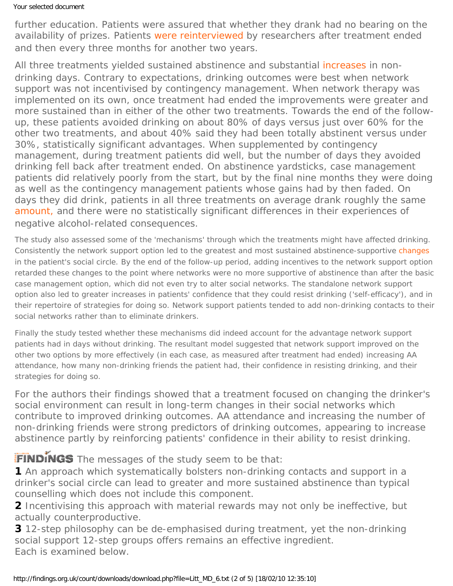## Your selected document

further education. Patients were assured that whether they drank had no bearing on the availability of prizes. Patients [were reinterviewed](#page-0-0) by researchers after treatment ended and then every three months for another two years.

All three treatments yielded sustained abstinence and substantial [increases](#page-0-0) in nondrinking days. Contrary to expectations, drinking outcomes were best when network support was *not* incentivised by contingency management. When network therapy was implemented on its own, once treatment had ended the improvements were greater and more sustained than in either of the other two treatments. Towards the end of the followup, these patients avoided drinking on about 80% of days versus just over 60% for the other two treatments, and about 40% said they had been totally abstinent versus under 30%, statistically significant advantages. When supplemented by contingency management, during treatment patients did well, but the number of days they avoided drinking fell back after treatment ended. On abstinence yardsticks, case management patients did relatively poorly from the start, but by the final nine months they were doing as well as the contingency management patients whose gains had by then faded. On days they did drink, patients in all three treatments on average drank roughly the same [amount,](#page-0-0) and there were no statistically significant differences in their experiences of negative alcohol-related consequences.

The study also assessed some of the 'mechanisms' through which the treatments might have affected drinking. Consistently the network support option led to the greatest and most sustained abstinence-supportive [changes](#page-0-0) in the patient's social circle. By the end of the follow-up period, adding incentives to the network support option retarded these changes to the point where networks were no more supportive of abstinence than after the basic case management option, which did not even try to alter social networks. The standalone network support option also led to greater increases in patients' confidence that they could resist drinking ('self-efficacy'), and in their repertoire of strategies for doing so. Network support patients tended to add non-drinking contacts to their social networks rather than to eliminate drinkers.

Finally the study tested whether these mechanisms did indeed account for the advantage network support patients had in days without drinking. The resultant model suggested that network support improved on the other two options by more effectively (in each case, as measured after treatment had ended) increasing AA attendance, how many non-drinking friends the patient had, their confidence in resisting drinking, and their strategies for doing so.

For the authors their findings showed that a treatment focused on changing the drinker's social environment can result in long-term changes in their social networks which contribute to improved drinking outcomes. AA attendance and increasing the number of non-drinking friends were strong predictors of drinking outcomes, appearing to increase abstinence partly by reinforcing patients' confidence in their ability to resist drinking.

FINDINGS The messages of the study seem to be that:

**1** An approach which systematically bolsters non-drinking contacts and support in a drinker's social circle can lead to greater and more sustained abstinence than typical counselling which does not include this component.

**2** Incentivising this approach with material rewards may not only be ineffective, but actually counterproductive.

**3** 12-step philosophy can be de-emphasised during treatment, yet the non-drinking social support 12-step groups offers remains an effective ingredient. Each is examined below.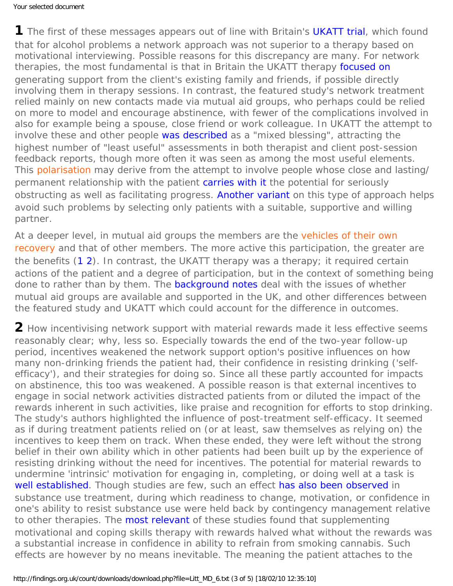**1** The first of these messages appears out of line with Britain's [UKATT trial,](https://findings.org.uk/count/downloads/download.php?file=nug_14_6.pdf) which found that for alcohol problems a network approach was *not* superior to a therapy based on motivational interviewing. Possible reasons for this discrepancy are many. For network therapies, the most fundamental is that in Britain the UKATT therapy [focused on](http://dx.doi.org/10.1016/S0306-4603(01)00176-9) generating support from the client's *existing* family and friends, if possible directly involving them in therapy sessions. In contrast, the featured study's network treatment relied mainly on new contacts made via mutual aid groups, who perhaps could be relied on more to model and encourage abstinence, with fewer of the complications involved in also for example being a spouse, close friend or work colleague. In UKATT the attempt to involve these and other people [was described](http://dx.doi.org/10.1093/alcalc/agn112) as a "mixed blessing", attracting the highest number of "least useful" assessments in both therapist and client post-session feedback reports, though more often it was seen as among the most useful elements. This [polarisation](#page-0-0) may derive from the attempt to involve people whose close and lasting/ permanent relationship with the patient [carries with it](http://dx.doi.org/10.1097/ADT.0b013e31802b4eb2) the potential for seriously obstructing as well as facilitating progress. [Another variant](https://findings.org.uk/count/downloads/download.php?file=Powers_MB_1.txt) on this type of approach helps avoid such problems by selecting only patients with a suitable, supportive and willing partner.

At a deeper level, in mutual aid groups the members are the [vehicles of their own](#page-0-0) [recovery](#page-0-0) and that of other members. The more active this participation, the greater are the benefits ([1](http://dx.doi.org/10.1080/16066350902770458) [2\)](http://dx.doi.org/10.1111/j.1360-0443.2007.02111.x). In contrast, the UKATT therapy *was* a therapy; it required certain actions of the patient and a degree of participation, but in the context of something being done to rather than by them. The [background notes](https://findings.org.uk/count/downloads/download.php?file=Litt_MD_6_back.htm#1) deal with the issues of whether mutual aid groups are available and supported in the UK, and other differences between the featured study and UKATT which could account for the difference in outcomes.

**2** *How* incentivising network support with material rewards made it less effective seems reasonably clear; *why*, less so. Especially towards the end of the two-year follow-up period, incentives weakened the network support option's positive influences on how many non-drinking friends the patient had, their confidence in resisting drinking ('selfefficacy'), and their strategies for doing so. Since all these partly accounted for impacts on abstinence, this too was weakened. A possible reason is that external incentives to engage in social network activities distracted patients from or diluted the impact of the rewards inherent in such activities, like praise and recognition for efforts to stop drinking. The study's authors highlighted the influence of post-treatment self-efficacy. It seemed as if during treatment patients relied on (or at least, saw themselves as relying on) the incentives to keep them on track. When these ended, they were left without the strong belief in their own ability which in other patients had been built up by the experience of resisting drinking without the need for incentives. The potential for material rewards to undermine 'intrinsic' motivation for engaging in, completing, or doing well at a task is [well established.](https://findings.org.uk/count/downloads/download.php?file=Litt_MD_5.txt) Though studies are few, such an effect [has also been observed](https://findings.org.uk/count/downloads/download.php?file=Litt_MD_5.txt) in substance use treatment, during which readiness to change, motivation, or confidence in one's ability to resist substance use were held back by contingency management relative to other therapies. The [most relevant](http://dx.doi.org/10.1037//0022-006X.68.6.1051) of these studies found that supplementing motivational and coping skills therapy with rewards halved what without the rewards was a substantial increase in confidence in ability to refrain from smoking cannabis. Such effects are however by no means inevitable. The meaning the patient attaches to the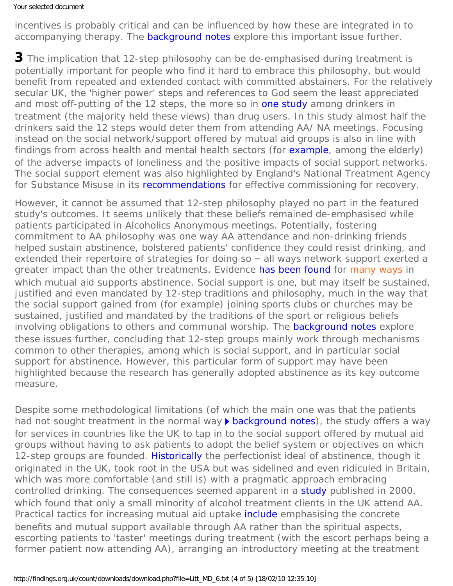incentives is probably critical and can be influenced by how these are integrated in to accompanying therapy. The [background notes](https://findings.org.uk/count/downloads/download.php?file=Litt_MD_6_back.htm#2) explore this important issue further.

**3** The implication that 12-step philosophy can be de-emphasised during treatment is potentially important for people who find it hard to embrace this philosophy, but would benefit from repeated and extended contact with committed abstainers. For the relatively secular UK, the 'higher power' steps and references to God seem the least appreciated and most off-putting of the 12 steps, the more so in [one study](http://dx.doi.org/10.1159/000050719) among drinkers in treatment (the majority held these views) than drug users. In this study almost half the drinkers said the 12 steps would deter them from attending AA/ NA meetings. Focusing instead on the social network/support offered by mutual aid groups is also in line with findings from across health and mental health sectors (for [example](http://dx.doi.org/10.1002/gps.2181), among the elderly) of the adverse impacts of loneliness and the positive impacts of social support networks. The social support element was also highlighted by England's National Treatment Agency for Substance Misuse in its [recommendations](http://www.nta.nhs.uk/news_events/newsarticle.aspx?NewsarticleID=207) for effective commissioning for recovery.

However, it cannot be assumed that 12-step philosophy played no part in the featured study's outcomes. It seems unlikely that these beliefs *remained* de-emphasised while patients participated in Alcoholics Anonymous meetings. Potentially, fostering commitment to AA philosophy was one way AA attendance and non-drinking friends helped sustain abstinence, bolstered patients' confidence they could resist drinking, and extended their repertoire of strategies for doing so – all ways network support exerted a greater impact than the other treatments. Evidence [has been found](https://findings.org.uk/count/downloads/download.php?file=White_WL_19.txt) for [many ways](#page-0-0) in which mutual aid supports abstinence. Social support is one, but may itself be sustained, justified and even mandated by 12-step traditions and philosophy, much in the way that the social support gained from (for example) joining sports clubs or churches may be sustained, justified and mandated by the traditions of the sport or religious beliefs involving obligations to others and communal worship. The **background notes** explore these issues further, concluding that 12-step groups mainly work through mechanisms common to other therapies, among which is social support, and in particular social support for abstinence. However, this particular form of support may have been highlighted because the research has generally adopted abstinence as its key outcome measure.

Despite some methodological limitations (of which the main one was that the patients had not sought treatment in the normal way [background notes](https://findings.org.uk/count/downloads/download.php?file=Litt_MD_6_back.htm#methodology)), the study offers a way for services in countries like the UK to tap in to the social support offered by mutual aid groups without having to ask patients to adopt the belief system or objectives on which 12-step groups are founded. [Historically](http://dx.doi.org/10.2105/AJPH.2007/117226) the perfectionist ideal of abstinence, though it originated in the UK, took root in the USA but was sidelined and even ridiculed in Britain, which was more comfortable (and still is) with a pragmatic approach embracing controlled drinking. The consequences seemed apparent in a [study](http://informahealthcare.com/doi/abs/10.3109/14659890009053075) published in 2000, which found that only a small minority of alcohol treatment clients in the UK attend AA. Practical tactics for increasing mutual aid uptake *include* emphasising the concrete benefits and mutual support available through AA rather than the spiritual aspects, escorting patients to 'taster' meetings during treatment (with the escort perhaps being a former patient now attending AA), arranging an introductory meeting at the treatment